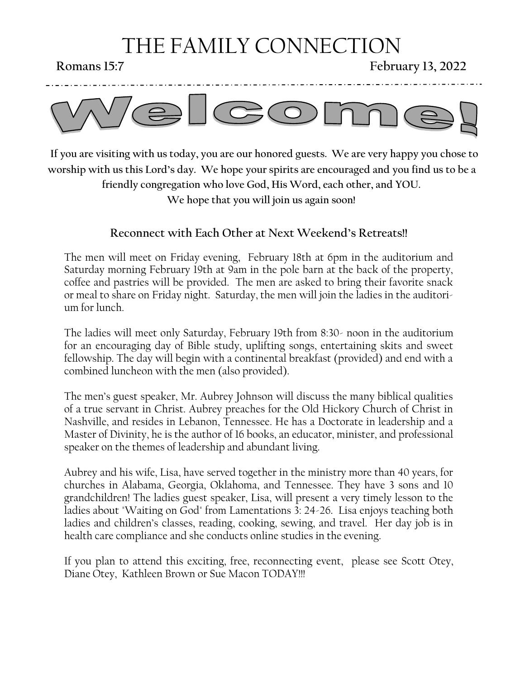# THE FAMILY CONNECTION

**Romans 15:7 February 13, 2022**



 **If you are visiting with us today, you are our honored guests. We are very happy you chose to worship with us this Lord's day. We hope your spirits are encouraged and you find us to be a friendly congregation who love God, His Word, each other, and YOU. We hope that you will join us again soon!**

#### **Reconnect with Each Other at Next Weekend's Retreats!!**

The men will meet on Friday evening, February 18th at 6pm in the auditorium and Saturday morning February 19th at 9am in the pole barn at the back of the property, coffee and pastries will be provided. The men are asked to bring their favorite snack or meal to share on Friday night. Saturday, the men will join the ladies in the auditorium for lunch.

The ladies will meet only Saturday, February 19th from 8:30- noon in the auditorium for an encouraging day of Bible study, uplifting songs, entertaining skits and sweet fellowship. The day will begin with a continental breakfast (provided) and end with a combined luncheon with the men (also provided).

The men's guest speaker, Mr. Aubrey Johnson will discuss the many biblical qualities of a true servant in Christ. Aubrey preaches for the Old Hickory Church of Christ in Nashville, and resides in Lebanon, Tennessee. He has a Doctorate in leadership and a Master of Divinity, he is the author of 16 books, an educator, minister, and professional speaker on the themes of leadership and abundant living.

Aubrey and his wife, Lisa, have served together in the ministry more than 40 years, for churches in Alabama, Georgia, Oklahoma, and Tennessee. They have 3 sons and 10 grandchildren! The ladies guest speaker, Lisa, will present a very timely lesson to the ladies about "Waiting on God" from Lamentations 3: 24-26. Lisa enjoys teaching both ladies and children's classes, reading, cooking, sewing, and travel. Her day job is in health care compliance and she conducts online studies in the evening.

If you plan to attend this exciting, free, reconnecting event, please see Scott Otey, Diane Otey, Kathleen Brown or Sue Macon TODAY!!!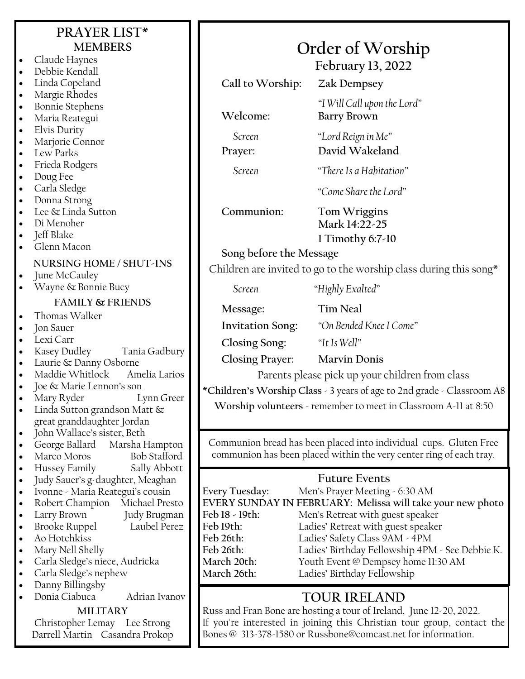## **PRAYER LIST\* MEMBERS**

- Claude Haynes
- Debbie Kendall
- Linda Copeland
- Margie Rhodes
- Bonnie Stephens
- Maria Reategui
- Elvis Durity
- Marjorie Connor
- Lew Parks
- Frieda Rodgers
- Doug Fee
- Carla Sledge
- Donna Strong
- Lee & Linda Sutton
- Di Menoher
- Jeff Blake
- Glenn Macon

#### **NURSING HOME / SHUT-INS**

- June McCauley
- Wayne & Bonnie Bucy

#### **FAMILY & FRIENDS**

- Thomas Walker
- **Jon Sauer**
- Lexi Carr
- Kasey Dudley Tania Gadbury
- Laurie & Danny Osborne
- Maddie Whitlock Amelia Larios
- Joe & Marie Lennon's son
- Mary Ryder Lynn Greer
- Linda Sutton grandson Matt & great granddaughter Jordan
- John Wallace's sister, Beth
- George Ballard Marsha Hampton
- Marco Moros Bob Stafford
- Hussey Family Sally Abbott
- Judy Sauer's g-daughter, Meaghan
- Ivonne Maria Reategui's cousin
- Robert Champion Michael Presto
- Larry Brown Judy Brugman
- Brooke Ruppel Laubel Perez
- Ao Hotchkiss
- Mary Nell Shelly
- Carla Sledge's niece, Audricka
- Carla Sledge's nephew
- Danny Billingsby
- Donia Ciabuca Adrian Ivanov

#### **MILITARY**

Christopher Lemay Lee Strong Darrell Martin Casandra Prokop

# **Order of Worship**

**February 13, 2022**

**Call to Worship: Zak Dempsey**

*"I Will Call upon the Lord"* **Welcome: Barry Brown**

*Screen "Lord Reign in Me"* **Prayer: David Wakeland**

*Screen "There Is a Habitation"*

*"Come Share the Lord"*

**Communion: Tom Wriggins**

# **Mark 14:22-25**

**1 Timothy 6:7-10**

**Song before the Message**

Children are invited to go to the worship class during this song\*

*Screen "Highly Exalted"*

**Message: Tim Neal**

**Invitation Song:** *"On Bended Knee I Come"*

**Closing Song:** *"It Is Well"*

**Closing Prayer: Marvin Donis**

Parents please pick up your children from class

**\*Children's Worship Class** - 3 years of age to 2nd grade - Classroom A8

**Worship volunteers** - remember to meet in Classroom A-11 at 8:50

Communion bread has been placed into individual cups. Gluten Free communion has been placed within the very center ring of each tray.

### **Future Events**

| <b>Every Tuesday:</b>                                      | Men's Prayer Meeting - 6:30 AM                  |
|------------------------------------------------------------|-------------------------------------------------|
| EVERY SUNDAY IN FEBRUARY: Melissa will take your new photo |                                                 |
| Feb 18 - 19th:                                             | Men's Retreat with guest speaker                |
| Feb 19th:                                                  | Ladies' Retreat with guest speaker              |
| Feb 26th:                                                  | Ladies' Safety Class 9AM - 4PM                  |
| Feb 26th:                                                  | Ladies' Birthday Fellowship 4PM - See Debbie K. |
| March 20th:                                                | Youth Event @ Dempsey home 11:30 AM             |
| March 26th:                                                | Ladies' Birthday Fellowship                     |
|                                                            |                                                 |

## **TOUR IRELAND**

Russ and Fran Bone are hosting a tour of Ireland, June 12-20, 2022. If you're interested in joining this Christian tour group, contact the Bones @ 313-378-1580 or Russbone@comcast.net for information.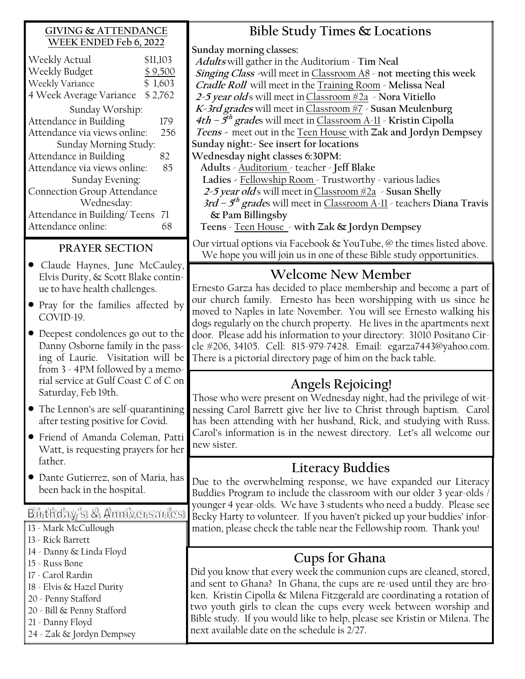#### **GIVING & ATTENDANCE WEEK ENDED Feb 6, 2022**

| \$11,103 |
|----------|
| \$9,500  |
| \$1,603  |
| \$2,762  |
|          |
| 179      |
| 256      |
|          |
| 82       |
| 85       |
|          |
|          |
|          |
| 71       |
| 68       |
|          |

#### **PRAYER SECTION**

- Claude Haynes, June McCauley, Elvis Durity, & Scott Blake continue to have health challenges.
- Pray for the families affected by COVID-19.
- Deepest condolences go out to the Danny Osborne family in the passing of Laurie. Visitation will be from 3 - 4PM followed by a memorial service at Gulf Coast C of C on Saturday, Feb 19th.
- The Lennon's are self-quarantining after testing positive for Covid.
- Friend of Amanda Coleman, Patti Watt, is requesting prayers for her father.
- Dante Gutierrez, son of Maria, has been back in the hospital.

Birthday's & Anniversaries

- 13 Mark McCullough
- 13 Rick Barrett
- 14 Danny & Linda Floyd
- 15 Russ Bone
- 17 Carol Rardin
- 18 Elvis & Hazel Durity
- 20 Penny Stafford
- 20 Bill & Penny Stafford
- 21 Danny Floyd
- 24 Zak & Jordyn Dempsey

**Bible Study Times & Locations**

**Sunday morning classes:**

**Adults** will gather in the Auditorium - **Tim Neal Singing Class -**will meet in Classroom A8 - **not meeting this week Cradle Roll** will meet in the Training Room - **Melissa Neal 2-5 year old** s will meet inClassroom #2a - **Nora Vitiello K-3rd grades** will meet inClassroom #7 - **Susan Meulenburg 4th – 5 th grade**s will meet in Classroom A-11 - **Kristin Cipolla Teens -** meet out in the Teen House with **Zak and Jordyn Dempsey Sunday night:- See insert for locations Wednesday night classes 6:30PM: Adults** - Auditorium - teacher - **Jeff Blake Ladies -** Fellowship Room - Trustworthy - various ladies

**2-5 year old** s will meet inClassroom #2a - **Susan Shelly 3rd – 5 th grade**s will meet in Classroom A-11 - teachers **Diana Travis** 

**& Pam Billingsby** 

**Teens** - Teen House - **with Zak & Jordyn Dempsey**

Our virtual options via Facebook & YouTube, @ the times listed above. We hope you will join us in one of these Bible study opportunities.

## **Welcome New Member**

Ernesto Garza has decided to place membership and become a part of our church family. Ernesto has been worshipping with us since he moved to Naples in late November. You will see Ernesto walking his dogs regularly on the church property. He lives in the apartments next door. Please add his information to your directory: 31010 Positano Circle #206, 34105. Cell: 815-979-7428. Email: egarza7443@yahoo.com. There is a pictorial directory page of him on the back table.

## **Angels Rejoicing!**

Those who were present on Wednesday night, had the privilege of witnessing Carol Barrett give her live to Christ through baptism. Carol has been attending with her husband, Rick, and studying with Russ. Carol's information is in the newest directory. Let's all welcome our new sister.

## **Literacy Buddies**

Due to the overwhelming response, we have expanded our Literacy Buddies Program to include the classroom with our older 3 year-olds / younger 4 year-olds. We have 3 students who need a buddy. Please see Becky Harty to volunteer. If you haven't picked up your buddies' information, please check the table near the Fellowship room. Thank you!

## **Cups for Ghana**

Did you know that every week the communion cups are cleaned, stored, and sent to Ghana? In Ghana, the cups are re-used until they are broken. Kristin Cipolla & Milena Fitzgerald are coordinating a rotation of two youth girls to clean the cups every week between worship and Bible study. If you would like to help, please see Kristin or Milena. The next available date on the schedule is 2/27.